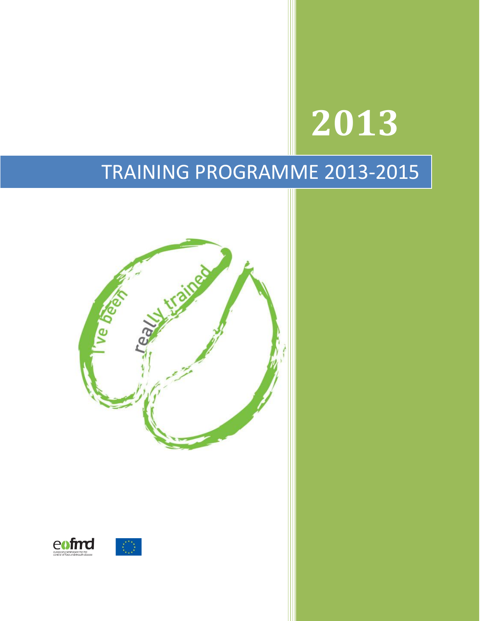# TRAINING PROGRAMME 2013-2015

**2013**

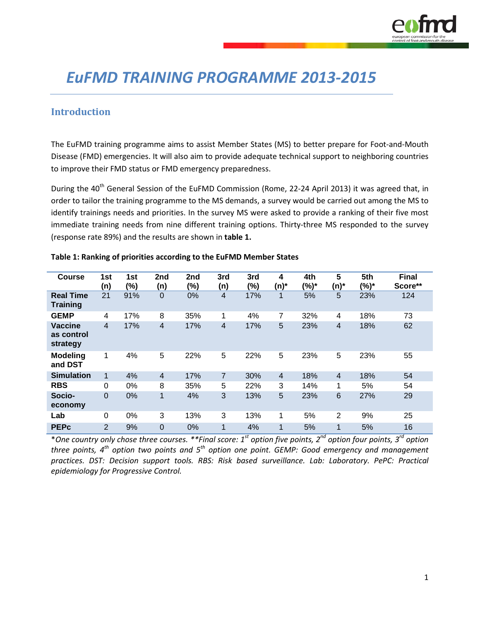

# *EuFMD TRAINING PROGRAMME 2013-2015*

#### **Introduction**

The EuFMD training programme aims to assist Member States (MS) to better prepare for Foot-and-Mouth Disease (FMD) emergencies. It will also aim to provide adequate technical support to neighboring countries to improve their FMD status or FMD emergency preparedness.

During the 40<sup>th</sup> General Session of the EuFMD Commission (Rome, 22-24 April 2013) it was agreed that, in order to tailor the training programme to the MS demands, a survey would be carried out among the MS to identify trainings needs and priorities. In the survey MS were asked to provide a ranking of their five most immediate training needs from nine different training options. Thirty-three MS responded to the survey (response rate 89%) and the results are shown in **table 1.**

| <b>Course</b>                            | 1st<br>(n)     | 1st<br>(%) | 2nd<br>(n)     | 2nd<br>(%) | 3rd<br>(n)     | 3rd<br>(%) | 4<br>$(n)^*$   | 4th<br>(%)* | 5<br>(n)*       | 5th<br>(%)* | <b>Final</b><br>Score** |
|------------------------------------------|----------------|------------|----------------|------------|----------------|------------|----------------|-------------|-----------------|-------------|-------------------------|
| <b>Real Time</b><br><b>Training</b>      | 21             | 91%        | 0              | 0%         | $\overline{4}$ | 17%        | $\mathbf 1$    | 5%          | 5               | 23%         | 124                     |
| <b>GEMP</b>                              | 4              | 17%        | 8              | 35%        | 1              | 4%         | 7              | 32%         | 4               | 18%         | 73                      |
| <b>Vaccine</b><br>as control<br>strategy | 4              | 17%        | $\overline{4}$ | 17%        | 4              | 17%        | 5              | 23%         | 4               | 18%         | 62                      |
| <b>Modeling</b><br>and DST               | 1              | 4%         | 5              | 22%        | 5              | 22%        | 5              | 23%         | 5               | 23%         | 55                      |
| <b>Simulation</b>                        | 1              | 4%         | $\overline{4}$ | 17%        | 7              | 30%        | $\overline{4}$ | 18%         | $\overline{4}$  | 18%         | 54                      |
| <b>RBS</b>                               | $\Omega$       | 0%         | 8              | 35%        | 5              | 22%        | 3              | 14%         | 1               | 5%          | 54                      |
| Socio-<br>economy                        | $\mathbf 0$    | 0%         | 1              | 4%         | 3              | 13%        | 5              | 23%         | $6\phantom{1}6$ | 27%         | 29                      |
| Lab                                      | $\Omega$       | 0%         | 3              | 13%        | 3              | 13%        | 1              | 5%          | $\overline{2}$  | 9%          | 25                      |
| <b>PEPc</b>                              | $\overline{2}$ | 9%         | 0              | 0%         | $\mathbf 1$    | 4%         | $\mathbf 1$    | 5%          | $\mathbf{1}$    | 5%          | 16                      |

#### **Table 1: Ranking of priorities according to the EuFMD Member States**

\**One country only chose three courses. \*\*Final score: 1st option five points, 2nd option four points, 3rd option three points, 4th option two points and 5th option one point. GEMP: Good emergency and management practices. DST: Decision support tools. RBS: Risk based surveillance. Lab: Laboratory. PePC: Practical epidemiology for Progressive Control.*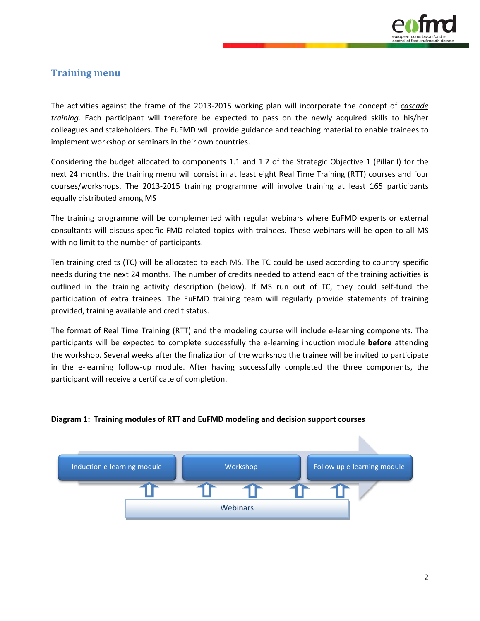

# **Training menu**

The activities against the frame of the 2013-2015 working plan will incorporate the concept of *cascade training.* Each participant will therefore be expected to pass on the newly acquired skills to his/her colleagues and stakeholders. The EuFMD will provide guidance and teaching material to enable trainees to implement workshop or seminars in their own countries.

Considering the budget allocated to components 1.1 and 1.2 of the Strategic Objective 1 (Pillar I) for the next 24 months, the training menu will consist in at least eight Real Time Training (RTT) courses and four courses/workshops. The 2013-2015 training programme will involve training at least 165 participants equally distributed among MS

The training programme will be complemented with regular webinars where EuFMD experts or external consultants will discuss specific FMD related topics with trainees. These webinars will be open to all MS with no limit to the number of participants.

Ten training credits (TC) will be allocated to each MS. The TC could be used according to country specific needs during the next 24 months. The number of credits needed to attend each of the training activities is outlined in the training activity description (below). If MS run out of TC, they could self-fund the participation of extra trainees. The EuFMD training team will regularly provide statements of training provided, training available and credit status.

The format of Real Time Training (RTT) and the modeling course will include e-learning components. The participants will be expected to complete successfully the e-learning induction module **before** attending the workshop. Several weeks after the finalization of the workshop the trainee will be invited to participate in the e-learning follow-up module. After having successfully completed the three components, the participant will receive a certificate of completion.



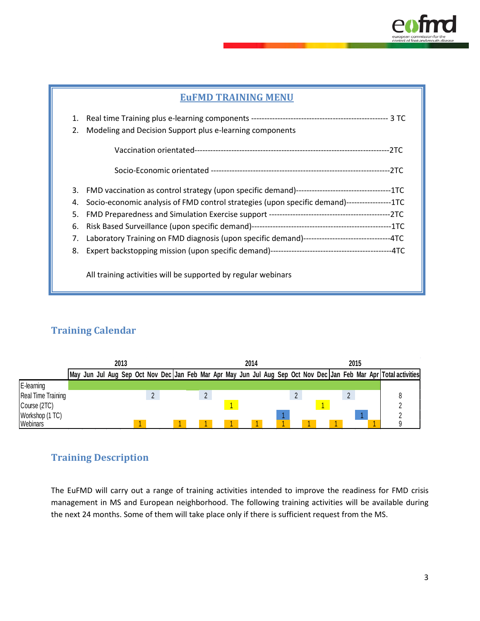

#### **EuFMD TRAINING MENU**

| 1.<br>2. | Modeling and Decision Support plus e-learning components                                        |
|----------|-------------------------------------------------------------------------------------------------|
|          |                                                                                                 |
|          |                                                                                                 |
| 3.       |                                                                                                 |
| 4.       | Socio-economic analysis of FMD control strategies (upon specific demand)-----------------1TC    |
| 5.       |                                                                                                 |
| 6.       |                                                                                                 |
| 7.       | Laboratory Training on FMD diagnosis (upon specific demand)---------------------------------4TC |
| 8.       |                                                                                                 |
|          | All training activities will be supported by regular webinars                                   |

# **Training Calendar**

|                    | 2013 |  |  |  |  |  |  | 2014 |  |  |  |  |  |  |  |  | 2015 |  |  |  |  |  |                                                                                                              |
|--------------------|------|--|--|--|--|--|--|------|--|--|--|--|--|--|--|--|------|--|--|--|--|--|--------------------------------------------------------------------------------------------------------------|
|                    | Mav  |  |  |  |  |  |  |      |  |  |  |  |  |  |  |  |      |  |  |  |  |  | Jun Jul Aug Sep Oct Nov Dec Jan Feb Mar Apr May Jun Jul Aug Sep Oct Nov Dec Jan Feb Mar Apr Total activities |
| E-learning         |      |  |  |  |  |  |  |      |  |  |  |  |  |  |  |  |      |  |  |  |  |  |                                                                                                              |
| Real Time Training |      |  |  |  |  |  |  |      |  |  |  |  |  |  |  |  |      |  |  |  |  |  |                                                                                                              |
| Course (2TC)       |      |  |  |  |  |  |  |      |  |  |  |  |  |  |  |  |      |  |  |  |  |  |                                                                                                              |
| Workshop (1 TC)    |      |  |  |  |  |  |  |      |  |  |  |  |  |  |  |  |      |  |  |  |  |  |                                                                                                              |
| Webinars           |      |  |  |  |  |  |  |      |  |  |  |  |  |  |  |  |      |  |  |  |  |  |                                                                                                              |

# **Training Description**

The EuFMD will carry out a range of training activities intended to improve the readiness for FMD crisis management in MS and European neighborhood. The following training activities will be available during the next 24 months. Some of them will take place only if there is sufficient request from the MS.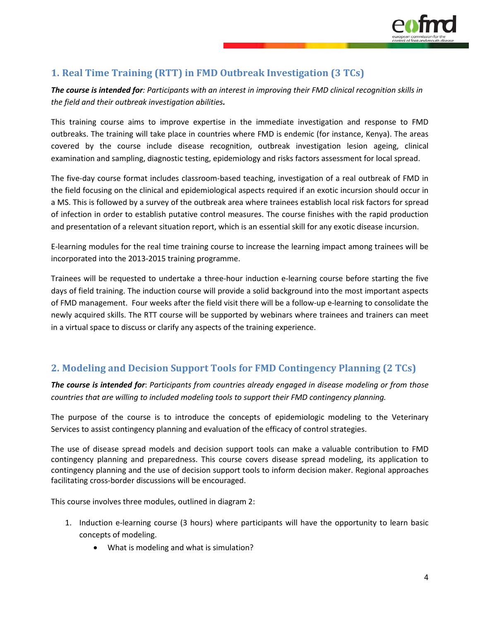

# **1. Real Time Training (RTT) in FMD Outbreak Investigation (3 TCs)**

*The course is intended for: Participants with an interest in improving their FMD clinical recognition skills in the field and their outbreak investigation abilities.*

This training course aims to improve expertise in the immediate investigation and response to FMD outbreaks. The training will take place in countries where FMD is endemic (for instance, Kenya). The areas covered by the course include disease recognition, outbreak investigation lesion ageing, clinical examination and sampling, diagnostic testing, epidemiology and risks factors assessment for local spread.

The five-day course format includes classroom-based teaching, investigation of a real outbreak of FMD in the field focusing on the clinical and epidemiological aspects required if an exotic incursion should occur in a MS. This is followed by a survey of the outbreak area where trainees establish local risk factors for spread of infection in order to establish putative control measures. The course finishes with the rapid production and presentation of a relevant situation report, which is an essential skill for any exotic disease incursion.

E-learning modules for the real time training course to increase the learning impact among trainees will be incorporated into the 2013-2015 training programme.

Trainees will be requested to undertake a three-hour induction e-learning course before starting the five days of field training. The induction course will provide a solid background into the most important aspects of FMD management. Four weeks after the field visit there will be a follow-up e-learning to consolidate the newly acquired skills. The RTT course will be supported by webinars where trainees and trainers can meet in a virtual space to discuss or clarify any aspects of the training experience.

# **2. Modeling and Decision Support Tools for FMD Contingency Planning (2 TCs)**

*The course is intended for*: *Participants from countries already engaged in disease modeling or from those countries that are willing to included modeling tools to support their FMD contingency planning.*

The purpose of the course is to introduce the concepts of epidemiologic modeling to the Veterinary Services to assist contingency planning and evaluation of the efficacy of control strategies.

The use of disease spread models and decision support tools can make a valuable contribution to FMD contingency planning and preparedness. This course covers disease spread modeling, its application to contingency planning and the use of decision support tools to inform decision maker. Regional approaches facilitating cross-border discussions will be encouraged.

This course involves three modules, outlined in diagram 2:

- 1. Induction e-learning course (3 hours) where participants will have the opportunity to learn basic concepts of modeling.
	- What is modeling and what is simulation?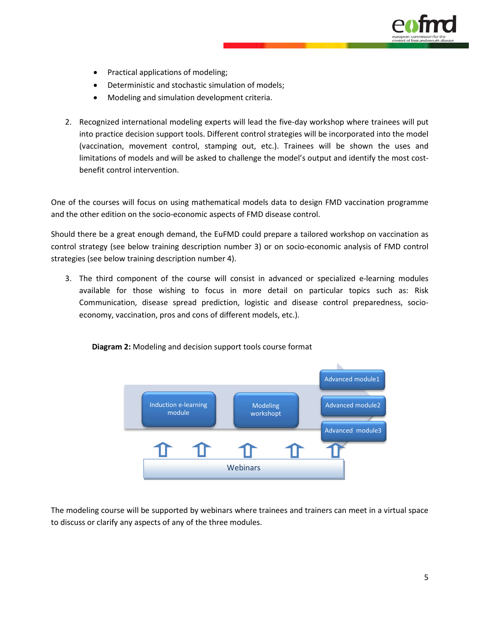

- Practical applications of modeling;
- Deterministic and stochastic simulation of models;
- Modeling and simulation development criteria.
- 2. Recognized international modeling experts will lead the five-day workshop where trainees will put into practice decision support tools. Different control strategies will be incorporated into the model (vaccination, movement control, stamping out, etc.). Trainees will be shown the uses and limitations of models and will be asked to challenge the model's output and identify the most costbenefit control intervention.

One of the courses will focus on using mathematical models data to design FMD vaccination programme and the other edition on the socio-economic aspects of FMD disease control.

Should there be a great enough demand, the EuFMD could prepare a tailored workshop on vaccination as control strategy (see below training description number 3) or on socio-economic analysis of FMD control strategies (see below training description number 4).

3. The third component of the course will consist in advanced or specialized e-learning modules available for those wishing to focus in more detail on particular topics such as: Risk Communication, disease spread prediction, logistic and disease control preparedness, socioeconomy, vaccination, pros and cons of different models, etc.).



 **Diagram 2:** Modeling and decision support tools course format

The modeling course will be supported by webinars where trainees and trainers can meet in a virtual space to discuss or clarify any aspects of any of the three modules.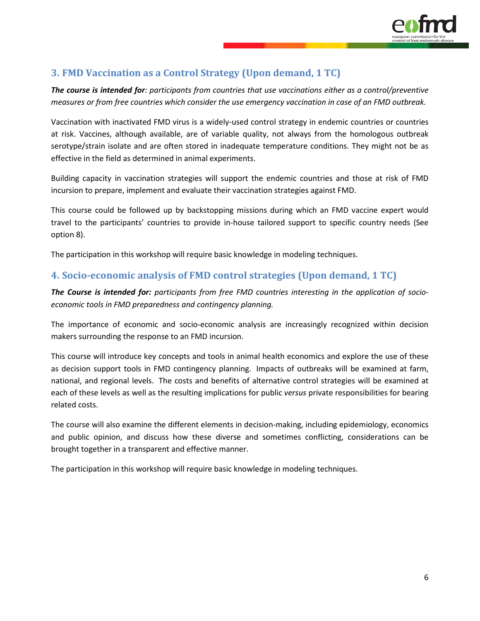

# **3. FMD Vaccination as a Control Strategy (Upon demand, 1 TC)**

*The course is intended for: participants from countries that use vaccinations either as a control/preventive measures or from free countries which consider the use emergency vaccination in case of an FMD outbreak.*

Vaccination with inactivated FMD virus is a widely-used control strategy in endemic countries or countries at risk. Vaccines, although available, are of variable quality, not always from the homologous outbreak serotype/strain isolate and are often stored in inadequate temperature conditions. They might not be as effective in the field as determined in animal experiments.

Building capacity in vaccination strategies will support the endemic countries and those at risk of FMD incursion to prepare, implement and evaluate their vaccination strategies against FMD.

This course could be followed up by backstopping missions during which an FMD vaccine expert would travel to the participants' countries to provide in-house tailored support to specific country needs (See option 8).

The participation in this workshop will require basic knowledge in modeling techniques.

#### **4. Socio-economic analysis of FMD control strategies (Upon demand, 1 TC)**

*The Course is intended for: participants from free FMD countries interesting in the application of socioeconomic tools in FMD preparedness and contingency planning.*

The importance of economic and socio-economic analysis are increasingly recognized within decision makers surrounding the response to an FMD incursion.

This course will introduce key concepts and tools in animal health economics and explore the use of these as decision support tools in FMD contingency planning. Impacts of outbreaks will be examined at farm, national, and regional levels. The costs and benefits of alternative control strategies will be examined at each of these levels as well as the resulting implications for public *versus* private responsibilities for bearing related costs.

The course will also examine the different elements in decision-making, including epidemiology, economics and public opinion, and discuss how these diverse and sometimes conflicting, considerations can be brought together in a transparent and effective manner.

The participation in this workshop will require basic knowledge in modeling techniques.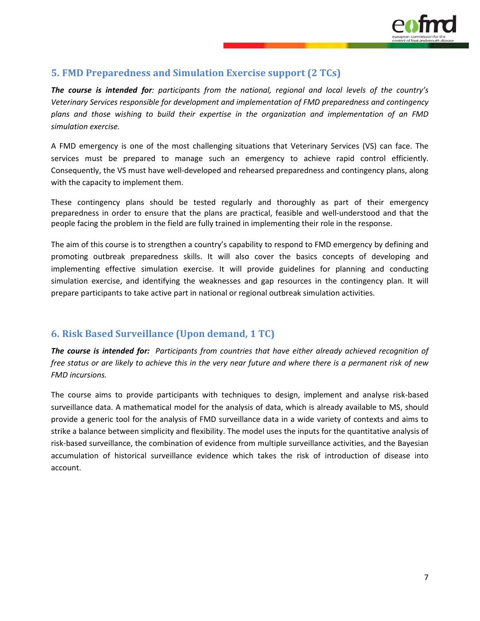

#### **5. FMD Preparedness and Simulation Exercise support (2 TCs)**

*The course is intended for: participants from the national, regional and local levels of the country's Veterinary Services responsible for development and implementation of FMD preparedness and contingency plans and those wishing to build their expertise in the organization and implementation of an FMD simulation exercise.* 

A FMD emergency is one of the most challenging situations that Veterinary Services (VS) can face. The services must be prepared to manage such an emergency to achieve rapid control efficiently. Consequently, the VS must have well-developed and rehearsed preparedness and contingency plans, along with the capacity to implement them.

These contingency plans should be tested regularly and thoroughly as part of their emergency preparedness in order to ensure that the plans are practical, feasible and well-understood and that the people facing the problem in the field are fully trained in implementing their role in the response.

The aim of this course is to strengthen a country's capability to respond to FMD emergency by defining and promoting outbreak preparedness skills. It will also cover the basics concepts of developing and implementing effective simulation exercise. It will provide guidelines for planning and conducting simulation exercise, and identifying the weaknesses and gap resources in the contingency plan. It will prepare participants to take active part in national or regional outbreak simulation activities.

#### **6. Risk Based Surveillance (Upon demand, 1 TC)**

*The course is intended for: Participants from countries that have either already achieved recognition of free status or are likely to achieve this in the very near future and where there is a permanent risk of new FMD incursions.* 

The course aims to provide participants with techniques to design, implement and analyse risk-based surveillance data. A mathematical model for the analysis of data, which is already available to MS, should provide a generic tool for the analysis of FMD surveillance data in a wide variety of contexts and aims to strike a balance between simplicity and flexibility. The model uses the inputs for the quantitative analysis of risk-based surveillance, the combination of evidence from multiple surveillance activities, and the Bayesian accumulation of historical surveillance evidence which takes the risk of introduction of disease into account.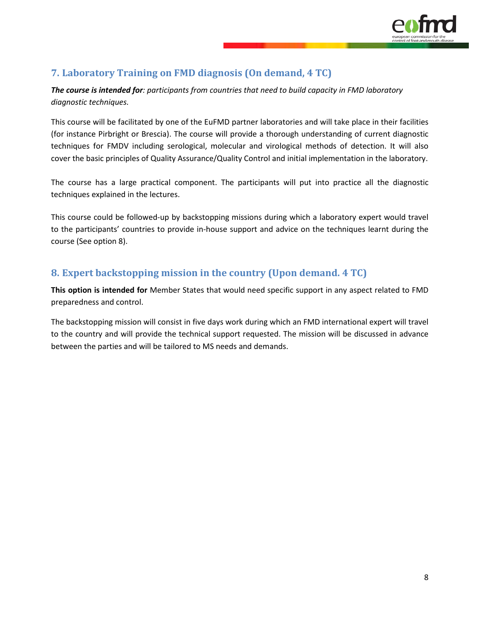

# **7. Laboratory Training on FMD diagnosis (On demand, 4 TC)**

*The course is intended for: participants from countries that need to build capacity in FMD laboratory diagnostic techniques.*

This course will be facilitated by one of the EuFMD partner laboratories and will take place in their facilities (for instance Pirbright or Brescia). The course will provide a thorough understanding of current diagnostic techniques for FMDV including serological, molecular and virological methods of detection. It will also cover the basic principles of Quality Assurance/Quality Control and initial implementation in the laboratory.

The course has a large practical component. The participants will put into practice all the diagnostic techniques explained in the lectures.

This course could be followed-up by backstopping missions during which a laboratory expert would travel to the participants' countries to provide in-house support and advice on the techniques learnt during the course (See option 8).

## **8. Expert backstopping mission in the country (Upon demand. 4 TC)**

**This option is intended for** Member States that would need specific support in any aspect related to FMD preparedness and control.

The backstopping mission will consist in five days work during which an FMD international expert will travel to the country and will provide the technical support requested. The mission will be discussed in advance between the parties and will be tailored to MS needs and demands.